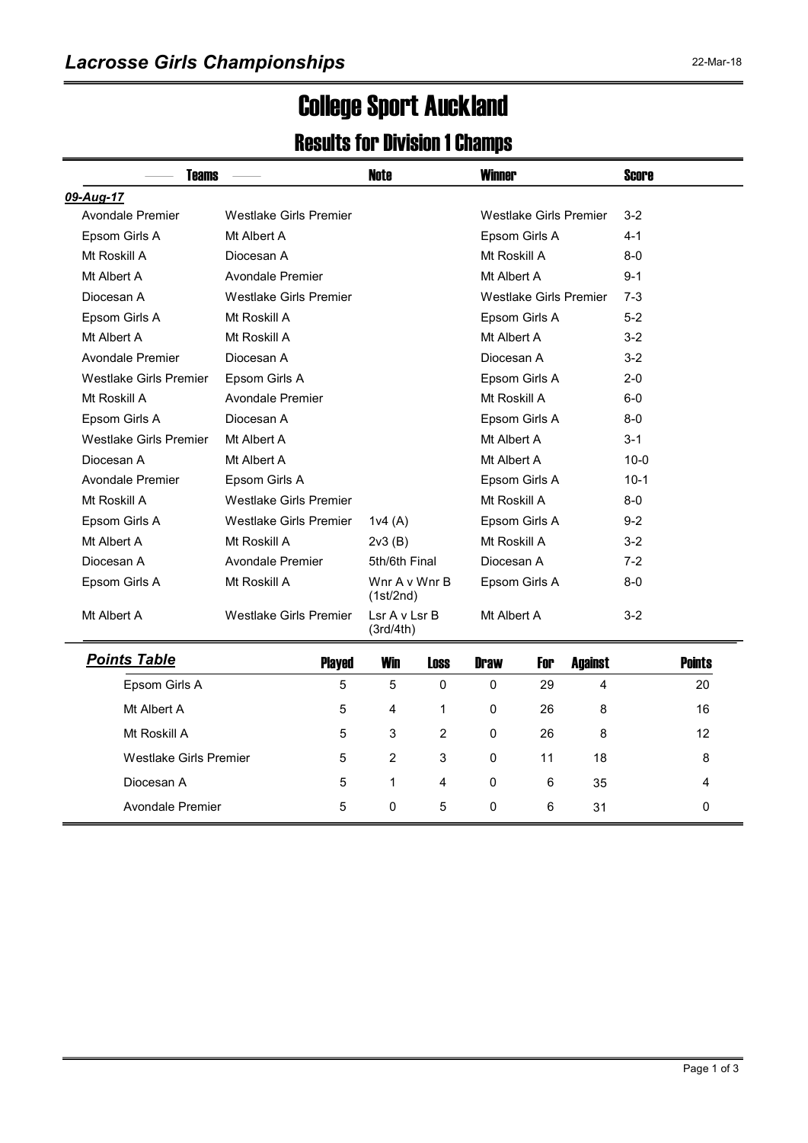# College Sport Auckland

### Results for Division 1 Champs

| Teams                         | <b>Note</b><br><b>Winner</b>  |                            | <b>Score</b>   |                        |               |                        |         |               |
|-------------------------------|-------------------------------|----------------------------|----------------|------------------------|---------------|------------------------|---------|---------------|
| 09-Aug-17                     |                               |                            |                |                        |               |                        |         |               |
| Avondale Premier              | <b>Westlake Girls Premier</b> |                            |                | Westlake Girls Premier |               |                        | $3-2$   |               |
| Epsom Girls A                 | Mt Albert A                   |                            |                | Epsom Girls A          |               |                        | 4-1     |               |
| Mt Roskill A                  | Diocesan A                    |                            |                |                        | Mt Roskill A  |                        | $8-0$   |               |
| Mt Albert A                   | Avondale Premier              |                            |                | Mt Albert A            |               |                        | $9 - 1$ |               |
| Diocesan A                    | <b>Westlake Girls Premier</b> |                            |                |                        |               | Westlake Girls Premier | $7-3$   |               |
| Epsom Girls A                 | Mt Roskill A                  |                            |                |                        | Epsom Girls A |                        | $5-2$   |               |
| Mt Albert A                   | Mt Roskill A                  |                            |                | Mt Albert A            |               |                        | $3 - 2$ |               |
| Avondale Premier              | Diocesan A                    |                            |                | Diocesan A             |               |                        | $3-2$   |               |
| Westlake Girls Premier        | Epsom Girls A                 |                            |                | Epsom Girls A          |               |                        | $2 - 0$ |               |
| Mt Roskill A                  | Avondale Premier              |                            |                | Mt Roskill A           |               |                        | $6-0$   |               |
| Epsom Girls A                 | Diocesan A                    |                            |                | Epsom Girls A          |               |                        | $8-0$   |               |
| Westlake Girls Premier        | Mt Albert A                   |                            |                | Mt Albert A            |               |                        | $3 - 1$ |               |
| Diocesan A                    | Mt Albert A                   |                            |                | Mt Albert A            |               |                        | $10-0$  |               |
| Avondale Premier              | Epsom Girls A                 |                            |                | Epsom Girls A          |               |                        | $10-1$  |               |
| Mt Roskill A                  | <b>Westlake Girls Premier</b> |                            | Mt Roskill A   |                        |               | $8-0$                  |         |               |
| Epsom Girls A                 | <b>Westlake Girls Premier</b> | 1v4(A)                     |                | Epsom Girls A          |               |                        | $9-2$   |               |
| Mt Albert A                   | Mt Roskill A                  | 2v3(B)                     |                | Mt Roskill A           |               |                        | $3 - 2$ |               |
| Diocesan A                    | Avondale Premier              | 5th/6th Final              |                | Diocesan A             |               |                        | $7-2$   |               |
| Epsom Girls A                 | Mt Roskill A                  | Wnr A v Wnr B<br>(1st/2nd) |                | Epsom Girls A          |               |                        | $8 - 0$ |               |
| Mt Albert A                   | <b>Westlake Girls Premier</b> | LsrAvLsrB<br>(3rd/4th)     |                | Mt Albert A            |               |                        | $3 - 2$ |               |
| <b>Points Table</b>           | <b>Played</b>                 | <b>Win</b>                 | <b>Loss</b>    | <b>Draw</b>            | For           | <b>Against</b>         |         | <b>Points</b> |
| Epsom Girls A                 | 5                             | 5                          | 0              | 0                      | 29            | 4                      |         | 20            |
| Mt Albert A                   | 5                             | 4                          | 1              | 0                      | 26            | 8                      |         | 16            |
| Mt Roskill A                  | 5                             | 3                          | $\overline{2}$ | 0                      | 26            | 8                      |         | 12            |
| <b>Westlake Girls Premier</b> | 5                             | $\overline{2}$             | 3              | 0                      | 11            | 18                     |         | 8             |
| Diocesan A                    | 5                             | $\mathbf{1}$               | 4              | $\mathbf{0}$           | 6             | 35                     |         | 4             |

Avondale Premier **5** 0 5 0 6 31 0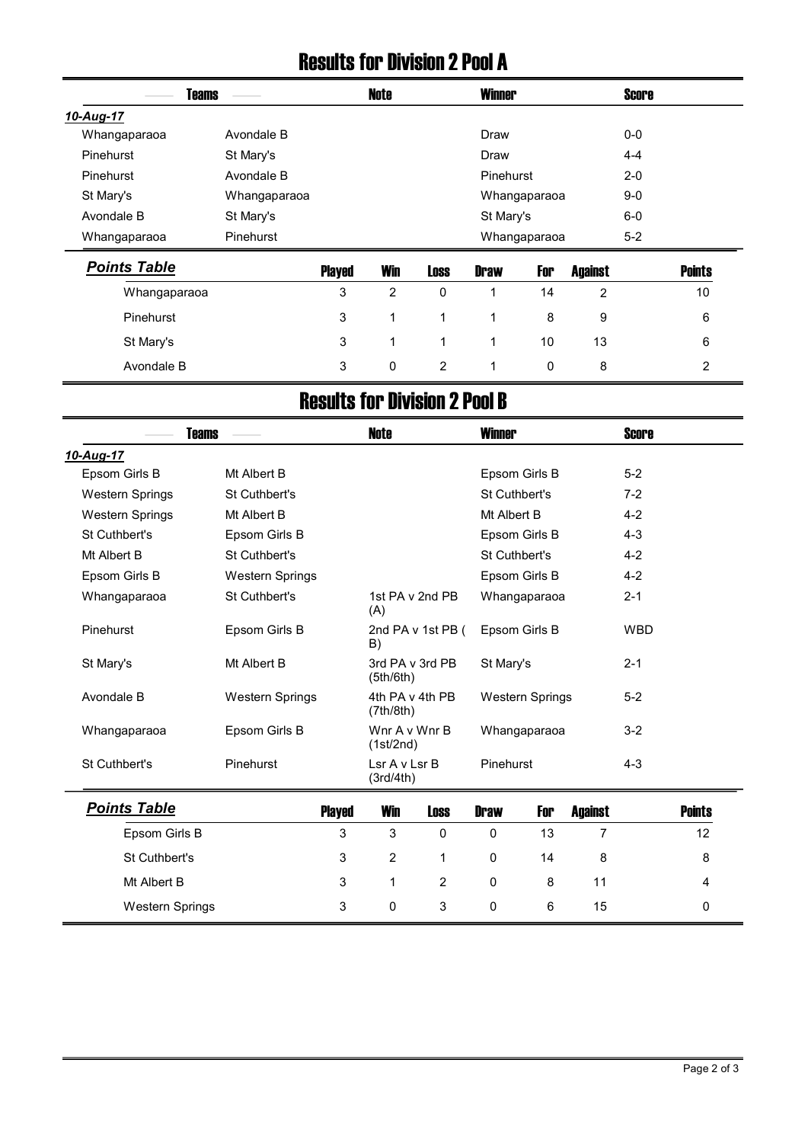#### Results for Division 2 Pool A

|              | <b>Teams</b>     | <b>Note</b> | <b>Winner</b> | <b>Score</b> |  |
|--------------|------------------|-------------|---------------|--------------|--|
| 10-Aug-17    |                  |             |               |              |  |
| Whangaparaoa | Avondale B       |             | Draw          | $0-0$        |  |
| Pinehurst    | St Mary's        |             | Draw          | $4 - 4$      |  |
| Pinehurst    | Avondale B       |             | Pinehurst     | $2 - 0$      |  |
| St Mary's    | Whangaparaoa     |             | Whangaparaoa  | $9 - 0$      |  |
| Avondale B   | St Mary's        |             | St Mary's     | $6-0$        |  |
| Whangaparaoa | <b>Pinehurst</b> |             | Whangaparaoa  | $5-2$        |  |
|              |                  |             |               |              |  |

| <b>Points Table</b> | <b>Played</b> | <b>Win</b> | <b>Loss</b>  | <b>Draw</b> | For | <b>Against</b> | <b>Points</b> |
|---------------------|---------------|------------|--------------|-------------|-----|----------------|---------------|
| Whangaparaoa        | 3             | 2          | $\mathbf{0}$ |             | 14  |                | 10            |
| <b>Pinehurst</b>    | 3             |            |              |             | 8   | 9              | 6             |
| St Mary's           | 3             |            |              |             | 10  | 13             | 6             |
| Avondale B          | 3             | 0          | 2            |             | 0   | 8              |               |

## Results for Division 2 Pool B

|                        | <b>Teams</b>           |               | <b>Note</b><br><b>Winner</b> |                         |               |                        |                | <b>Score</b> |                |  |
|------------------------|------------------------|---------------|------------------------------|-------------------------|---------------|------------------------|----------------|--------------|----------------|--|
| 10-Aug-17              |                        |               |                              |                         |               |                        |                |              |                |  |
| Epsom Girls B          | Mt Albert B            |               |                              |                         | Epsom Girls B |                        |                | $5-2$        |                |  |
| <b>Western Springs</b> | St Cuthbert's          |               |                              | St Cuthbert's           |               |                        | $7-2$          |              |                |  |
| <b>Western Springs</b> | Mt Albert B            |               |                              |                         | Mt Albert B   |                        |                | $4 - 2$      |                |  |
| St Cuthbert's          | Epsom Girls B          |               |                              |                         |               | Epsom Girls B          |                | $4 - 3$      |                |  |
| Mt Albert B            | St Cuthbert's          |               |                              |                         | St Cuthbert's |                        |                | $4 - 2$      |                |  |
| Epsom Girls B          | <b>Western Springs</b> |               |                              |                         |               | Epsom Girls B          |                | $4 - 2$      |                |  |
| Whangaparaoa           | St Cuthbert's          |               |                              | 1st PA v 2nd PB<br>(A)  |               | Whangaparaoa           |                |              |                |  |
| Pinehurst              | Epsom Girls B          |               |                              | 2nd PA v 1st PB (<br>B) |               | Epsom Girls B          |                | <b>WBD</b>   |                |  |
| St Mary's              | Mt Albert B            |               | 3rd PA v 3rd PB<br>(5th/6th) |                         | St Mary's     |                        |                | $2 - 1$      |                |  |
| Avondale B             | <b>Western Springs</b> |               | 4th PA v 4th PB<br>(7th/8th) |                         |               | <b>Western Springs</b> |                | $5-2$        |                |  |
| Whangaparaoa           | Epsom Girls B          |               | Wnr A v Wnr B<br>(1st/2nd)   |                         | Whangaparaoa  |                        |                | $3 - 2$      |                |  |
| St Cuthbert's          | Pinehurst              |               | Lsr A v Lsr B<br>(3rd/4th)   |                         | Pinehurst     |                        |                | $4 - 3$      |                |  |
| <b>Points Table</b>    |                        | <b>Played</b> | <b>Win</b>                   | <b>Loss</b>             | <b>Draw</b>   | For                    | <b>Against</b> |              | <b>Points</b>  |  |
| Epsom Girls B          |                        | 3             | 3                            | 0                       | 0             | 13                     | $\overline{7}$ |              | 12             |  |
| St Cuthbert's          |                        | 3             | $\overline{2}$               | 1                       | 0             | 14                     | 8              |              | 8              |  |
| Mt Albert B            |                        | 3             | 1                            | 2                       | 0             | 8                      | 11             |              | $\overline{4}$ |  |
| <b>Western Springs</b> |                        | 3             | 0                            | 3                       | 0             | 6                      | 15             |              | 0              |  |